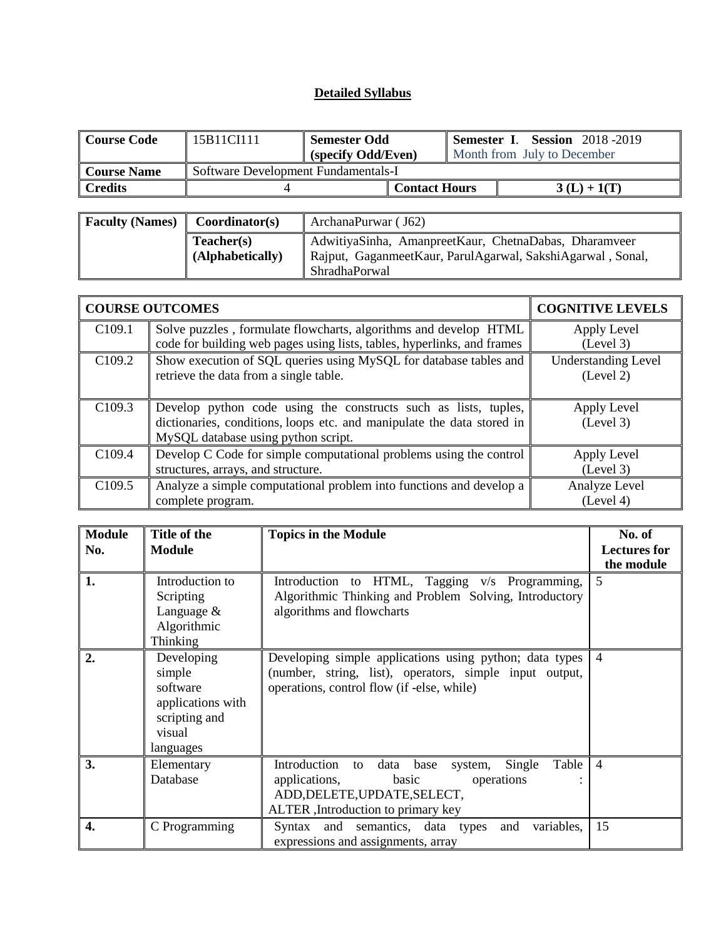| Course Code         | 15B11CI111                          | <b>Semester Odd</b> |                      | <b>Semester I. Session</b> 2018-2019 |               |  |
|---------------------|-------------------------------------|---------------------|----------------------|--------------------------------------|---------------|--|
|                     |                                     | (specify Odd/Even)  |                      | Month from July to December          |               |  |
| Course Name         | Software Development Fundamentals-I |                     |                      |                                      |               |  |
| $\parallel$ Credits |                                     |                     | <b>Contact Hours</b> |                                      | $3(L) + 1(T)$ |  |

| <b>Faculty (Names)</b> | Coordinator(s)                 | ArchanaPurwar (J62)                                                                                                                  |  |  |
|------------------------|--------------------------------|--------------------------------------------------------------------------------------------------------------------------------------|--|--|
|                        | Teacher(s)<br>(Alphabetically) | AdwitiyaSinha, AmanpreetKaur, ChetnaDabas, Dharamveer<br>Rajput, GaganmeetKaur, ParulAgarwal, SakshiAgarwal, Sonal,<br>ShradhaPorwal |  |  |

|                    | <b>COURSE OUTCOMES</b>                                                                                                                                                           | <b>COGNITIVE LEVELS</b>                 |
|--------------------|----------------------------------------------------------------------------------------------------------------------------------------------------------------------------------|-----------------------------------------|
| C <sub>109.1</sub> | Solve puzzles, formulate flowcharts, algorithms and develop HTML<br>code for building web pages using lists, tables, hyperlinks, and frames                                      | Apply Level<br>(Level 3)                |
| C <sub>109.2</sub> | Show execution of SQL queries using MySQL for database tables and<br>retrieve the data from a single table.                                                                      | <b>Understanding Level</b><br>(Level 2) |
| C109.3             | Develop python code using the constructs such as lists, tuples,<br>dictionaries, conditions, loops etc. and manipulate the data stored in<br>MySQL database using python script. | Apply Level<br>(Level 3)                |
| C109.4             | Develop C Code for simple computational problems using the control<br>structures, arrays, and structure.                                                                         | Apply Level<br>(Level 3)                |
| C109.5             | Analyze a simple computational problem into functions and develop a<br>complete program.                                                                                         | Analyze Level<br>(Level 4)              |

| <b>Module</b><br>No. | Title of the<br><b>Module</b>                                                                 | <b>Topics in the Module</b>                                                                                                                                              | No. of<br><b>Lectures for</b><br>the module |
|----------------------|-----------------------------------------------------------------------------------------------|--------------------------------------------------------------------------------------------------------------------------------------------------------------------------|---------------------------------------------|
| 1.                   | Introduction to<br>Scripting<br>Language $&$<br>Algorithmic<br>Thinking                       | Introduction to HTML, Tagging v/s Programming,<br>Algorithmic Thinking and Problem Solving, Introductory<br>algorithms and flowcharts                                    | 5                                           |
| $\overline{2}$ .     | Developing<br>simple<br>software<br>applications with<br>scripting and<br>visual<br>languages | Developing simple applications using python; data types<br>(number, string, list), operators, simple input output,<br>operations, control flow (if -else, while)         | $\overline{4}$                              |
| 3.                   | Elementary<br>Database                                                                        | Introduction to<br>Single<br>data base<br>Table<br>system,<br>applications,<br>operations<br>basic<br>ADD, DELETE, UPDATE, SELECT,<br>ALTER, Introduction to primary key | $\overline{4}$                              |
| 4.                   | C Programming                                                                                 | variables,<br>Syntax and semantics, data types<br>and<br>expressions and assignments, array                                                                              | 15                                          |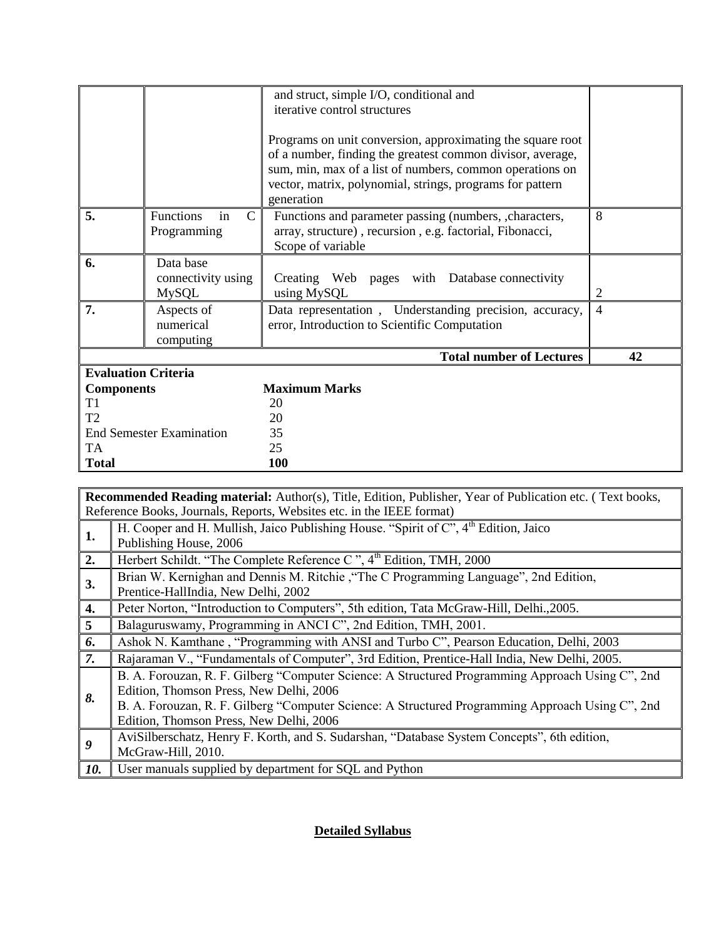|                            |                                                 | and struct, simple I/O, conditional and<br>iterative control structures<br>Programs on unit conversion, approximating the square root<br>of a number, finding the greatest common divisor, average,<br>sum, min, max of a list of numbers, common operations on<br>vector, matrix, polynomial, strings, programs for pattern<br>generation |    |
|----------------------------|-------------------------------------------------|--------------------------------------------------------------------------------------------------------------------------------------------------------------------------------------------------------------------------------------------------------------------------------------------------------------------------------------------|----|
| 5.                         | Functions<br>C<br>in<br>Programming             | Functions and parameter passing (numbers, , characters,<br>array, structure), recursion, e.g. factorial, Fibonacci,<br>Scope of variable                                                                                                                                                                                                   | 8  |
| 6.                         | Data base<br>connectivity using<br><b>MySQL</b> | Creating Web pages with Database connectivity<br>using MySQL                                                                                                                                                                                                                                                                               | 2  |
| 7.                         | Aspects of<br>numerical<br>computing            | Data representation, Understanding precision, accuracy,<br>error, Introduction to Scientific Computation                                                                                                                                                                                                                                   | 4  |
|                            |                                                 | <b>Total number of Lectures</b>                                                                                                                                                                                                                                                                                                            | 42 |
| <b>Evaluation Criteria</b> |                                                 |                                                                                                                                                                                                                                                                                                                                            |    |
| <b>Components</b>          |                                                 | <b>Maximum Marks</b>                                                                                                                                                                                                                                                                                                                       |    |
| T1                         |                                                 | 20                                                                                                                                                                                                                                                                                                                                         |    |
| T <sub>2</sub>             |                                                 | 20                                                                                                                                                                                                                                                                                                                                         |    |
|                            | <b>End Semester Examination</b>                 | 35                                                                                                                                                                                                                                                                                                                                         |    |
| TA                         |                                                 | 25                                                                                                                                                                                                                                                                                                                                         |    |
| <b>Total</b>               |                                                 | 100                                                                                                                                                                                                                                                                                                                                        |    |

|                | <b>Recommended Reading material:</b> Author(s), Title, Edition, Publisher, Year of Publication etc. (Text books, |  |  |  |  |
|----------------|------------------------------------------------------------------------------------------------------------------|--|--|--|--|
|                | Reference Books, Journals, Reports, Websites etc. in the IEEE format)                                            |  |  |  |  |
| 1.             | H. Cooper and H. Mullish, Jaico Publishing House. "Spirit of C", 4 <sup>th</sup> Edition, Jaico                  |  |  |  |  |
|                | Publishing House, 2006                                                                                           |  |  |  |  |
| 2.             | Herbert Schildt. "The Complete Reference C", $4th$ Edition, TMH, 2000                                            |  |  |  |  |
| 3.             | Brian W. Kernighan and Dennis M. Ritchie, "The C Programming Language", 2nd Edition,                             |  |  |  |  |
|                | Prentice-HallIndia, New Delhi, 2002                                                                              |  |  |  |  |
| 4.             | Peter Norton, "Introduction to Computers", 5th edition, Tata McGraw-Hill, Delhi., 2005.                          |  |  |  |  |
| $\overline{5}$ | Balaguruswamy, Programming in ANCI C", 2nd Edition, TMH, 2001.                                                   |  |  |  |  |
| 6.             | Ashok N. Kamthane, "Programming with ANSI and Turbo C", Pearson Education, Delhi, 2003                           |  |  |  |  |
| 7.             | Rajaraman V., "Fundamentals of Computer", 3rd Edition, Prentice-Hall India, New Delhi, 2005.                     |  |  |  |  |
|                | B. A. Forouzan, R. F. Gilberg "Computer Science: A Structured Programming Approach Using C", 2nd                 |  |  |  |  |
| 8.             | Edition, Thomson Press, New Delhi, 2006                                                                          |  |  |  |  |
|                | B. A. Forouzan, R. F. Gilberg "Computer Science: A Structured Programming Approach Using C", 2nd                 |  |  |  |  |
|                | Edition, Thomson Press, New Delhi, 2006                                                                          |  |  |  |  |
| 9              | AviSilberschatz, Henry F. Korth, and S. Sudarshan, "Database System Concepts", 6th edition,                      |  |  |  |  |
|                | McGraw-Hill, 2010.                                                                                               |  |  |  |  |
| 10.            | User manuals supplied by department for SQL and Python                                                           |  |  |  |  |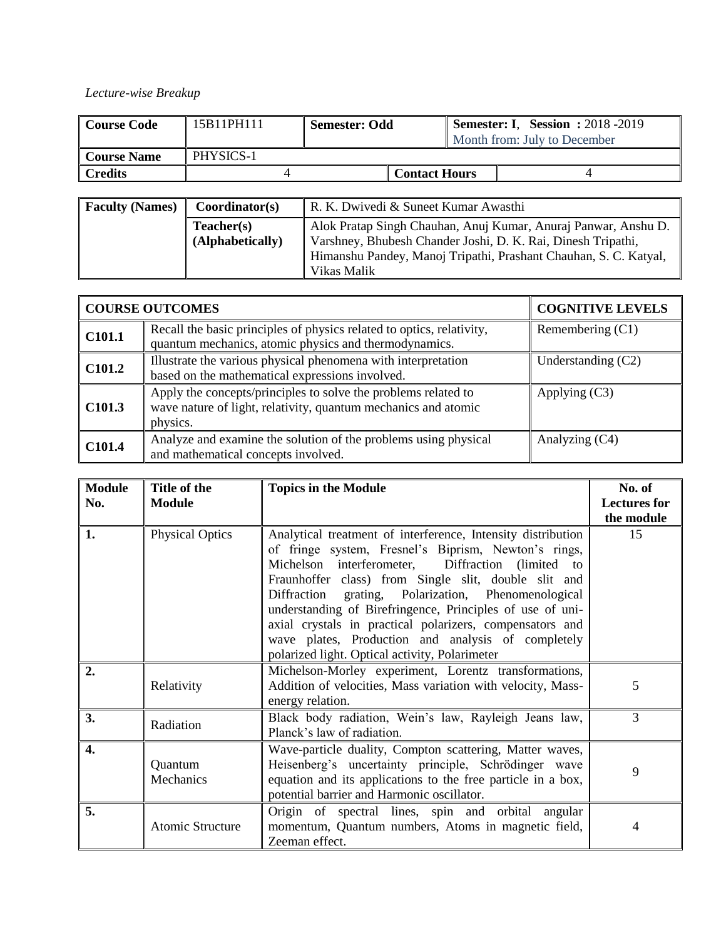### *Lecture-wise Breakup*

| Course Code    | 15B11PH111 | <b>Semester: Odd</b> |                      | <b>Semester: I. Session : 2018 -2019</b> |  |  |
|----------------|------------|----------------------|----------------------|------------------------------------------|--|--|
|                |            |                      |                      | Month from: July to December             |  |  |
| Course Name    | PHYSICS-1  |                      |                      |                                          |  |  |
| <b>Credits</b> |            |                      | <b>Contact Hours</b> |                                          |  |  |

| <b>Faculty (Names)</b>         | Coordinator(s) | R. K. Dwivedi & Suneet Kumar Awasthi                                                                                           |  |  |
|--------------------------------|----------------|--------------------------------------------------------------------------------------------------------------------------------|--|--|
| Teacher(s)<br>(Alphabetically) |                | Alok Pratap Singh Chauhan, Anuj Kumar, Anuraj Panwar, Anshu D.<br>Varshney, Bhubesh Chander Joshi, D. K. Rai, Dinesh Tripathi, |  |  |
|                                |                | Himanshu Pandey, Manoj Tripathi, Prashant Chauhan, S. C. Katyal,                                                               |  |  |
|                                |                | Vikas Malik                                                                                                                    |  |  |

|                    | <b>COURSE OUTCOMES</b>                                                                                                                       | <b>COGNITIVE LEVELS</b> |
|--------------------|----------------------------------------------------------------------------------------------------------------------------------------------|-------------------------|
| C101.1             | Recall the basic principles of physics related to optics, relativity,<br>quantum mechanics, atomic physics and thermodynamics.               | Remembering (C1)        |
| C <sub>101.2</sub> | Illustrate the various physical phenomena with interpretation<br>based on the mathematical expressions involved.                             | Understanding $(C2)$    |
| C <sub>101.3</sub> | Apply the concepts/principles to solve the problems related to<br>wave nature of light, relativity, quantum mechanics and atomic<br>physics. | Applying $(C3)$         |
| C <sub>101.4</sub> | Analyze and examine the solution of the problems using physical<br>and mathematical concepts involved.                                       | Analyzing (C4)          |

| <b>Module</b><br>No. | Title of the<br><b>Module</b> | <b>Topics in the Module</b>                                                                                                                                                                                                                                                                                                                                                                                                                                                                                                  | No. of<br><b>Lectures for</b><br>the module |
|----------------------|-------------------------------|------------------------------------------------------------------------------------------------------------------------------------------------------------------------------------------------------------------------------------------------------------------------------------------------------------------------------------------------------------------------------------------------------------------------------------------------------------------------------------------------------------------------------|---------------------------------------------|
| 1.                   | <b>Physical Optics</b>        | Analytical treatment of interference, Intensity distribution<br>of fringe system, Fresnel's Biprism, Newton's rings,<br>Michelson interferometer, Diffraction (limited to<br>Fraunhoffer class) from Single slit, double slit and<br>Diffraction<br>grating, Polarization, Phenomenological<br>understanding of Birefringence, Principles of use of uni-<br>axial crystals in practical polarizers, compensators and<br>wave plates, Production and analysis of completely<br>polarized light. Optical activity, Polarimeter | 15                                          |
| 2.                   | Relativity                    | Michelson-Morley experiment, Lorentz transformations,<br>Addition of velocities, Mass variation with velocity, Mass-<br>energy relation.                                                                                                                                                                                                                                                                                                                                                                                     | 5                                           |
| 3.                   | Radiation                     | Black body radiation, Wein's law, Rayleigh Jeans law,<br>Planck's law of radiation.                                                                                                                                                                                                                                                                                                                                                                                                                                          | 3                                           |
| $\overline{4}$ .     | Quantum<br>Mechanics          | Wave-particle duality, Compton scattering, Matter waves,<br>Heisenberg's uncertainty principle, Schrödinger wave<br>equation and its applications to the free particle in a box,<br>potential barrier and Harmonic oscillator.                                                                                                                                                                                                                                                                                               | 9                                           |
| 5.                   | <b>Atomic Structure</b>       | Origin of spectral lines, spin and orbital angular<br>momentum, Quantum numbers, Atoms in magnetic field,<br>Zeeman effect.                                                                                                                                                                                                                                                                                                                                                                                                  | 4                                           |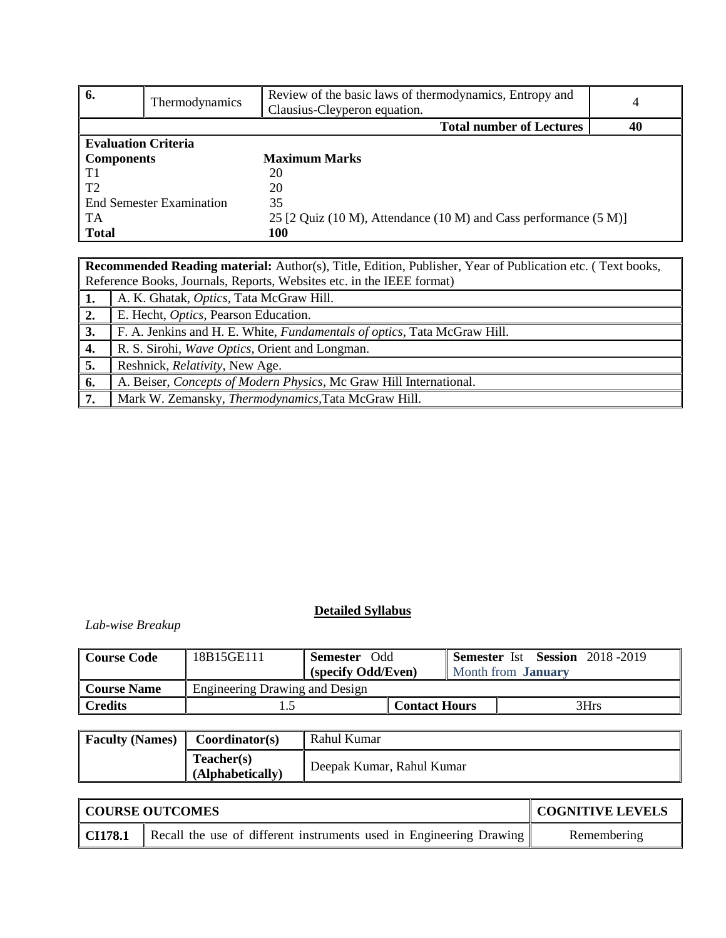| 6.                         | Thermodynamics                  | Review of the basic laws of thermodynamics, Entropy and<br>Clausius-Cleyperon equation. | 4  |
|----------------------------|---------------------------------|-----------------------------------------------------------------------------------------|----|
|                            |                                 | <b>Total number of Lectures</b>                                                         | 40 |
| <b>Evaluation Criteria</b> |                                 |                                                                                         |    |
| <b>Components</b>          |                                 | <b>Maximum Marks</b>                                                                    |    |
| T1                         |                                 | 20                                                                                      |    |
| T <sub>2</sub>             |                                 | 20                                                                                      |    |
|                            | <b>End Semester Examination</b> | 35                                                                                      |    |
| TA                         |                                 | 25 [2 Quiz (10 M), Attendance (10 M) and Cass performance $(5 M)$ ]                     |    |
| <b>Total</b>               |                                 | 100                                                                                     |    |

**Recommended Reading material:** Author(s), Title, Edition, Publisher, Year of Publication etc. ( Text books, Reference Books, Journals, Reports, Websites etc. in the IEEE format)

1. | A. K. Ghatak, *Optics*, Tata McGraw Hill.

**2.** E. Hecht, *Optics*, Pearson Education.

**3.** F. A. Jenkins and H. E. White, *Fundamentals of optics*, Tata McGraw Hill.

**4.** R. S. Sirohi, *Wave Optics*, Orient and Longman.

**5.** Reshnick, *Relativity*, New Age.

**6.** A. Beiser, *Concepts of Modern Physics*, Mc Graw Hill International.

**7.** Mark W. Zemansky, *Thermodynamics,*Tata McGraw Hill.

#### **Detailed Syllabus**

| <b>Course Code</b> | 18B15GE111                            | - Odd<br><b>Semester</b> |                      |                           |  | <b>Semester</b> Ist <b>Session</b> 2018-2019 |
|--------------------|---------------------------------------|--------------------------|----------------------|---------------------------|--|----------------------------------------------|
|                    |                                       | (specify Odd/Even)       |                      | Month from <b>January</b> |  |                                              |
| <b>Course Name</b> | <b>Engineering Drawing and Design</b> |                          |                      |                           |  |                                              |
| <b>Credits</b>     |                                       |                          | <b>Contact Hours</b> |                           |  | 3Hrs                                         |

| <b>Faculty (Names)</b> | Coordinator(s)                 | Rahul Kumar               |
|------------------------|--------------------------------|---------------------------|
|                        | Teacher(s)<br>(Alphabetically) | Deepak Kumar, Rahul Kumar |

| <b>COURSE OUTCOMES</b> |                                                                     | <b>COGNITIVE LEVELS</b> |  |
|------------------------|---------------------------------------------------------------------|-------------------------|--|
| CI178.1                | Recall the use of different instruments used in Engineering Drawing | Remembering             |  |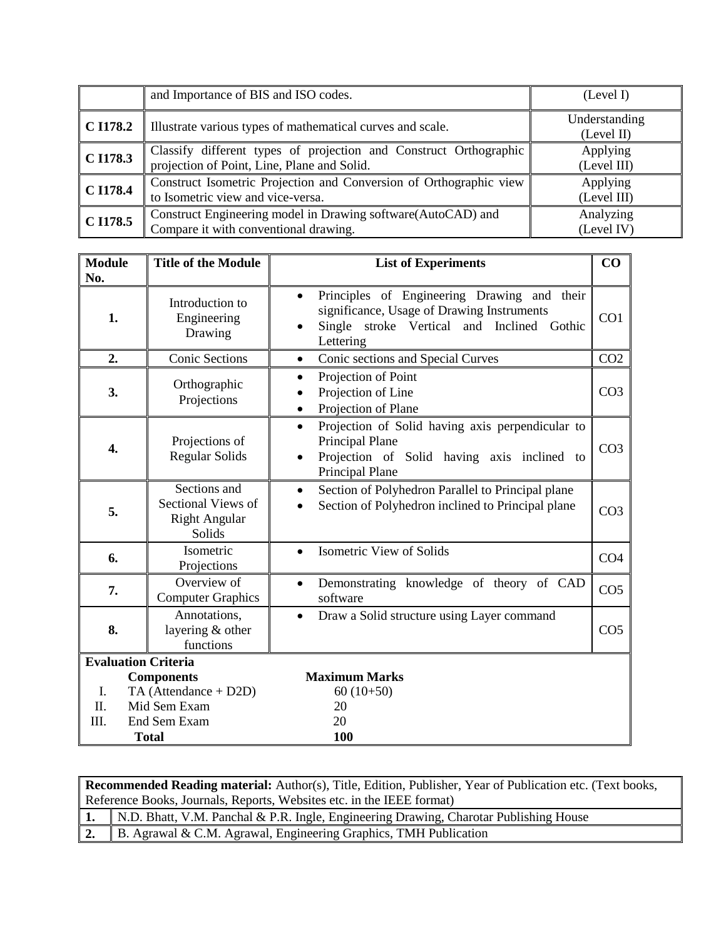|                  | and Importance of BIS and ISO codes.                                                                             | (Level I)                   |
|------------------|------------------------------------------------------------------------------------------------------------------|-----------------------------|
| $\vert$ C I178.2 | Illustrate various types of mathematical curves and scale.                                                       | Understanding<br>(Level II) |
| $\vert$ C I178.3 | Classify different types of projection and Construct Orthographic<br>projection of Point, Line, Plane and Solid. | Applying<br>(Level III)     |
| $\vert$ C I178.4 | Construct Isometric Projection and Conversion of Orthographic view<br>to Isometric view and vice-versa.          | Applying<br>(Level III)     |
| $\vert$ C I178.5 | Construct Engineering model in Drawing software(AutoCAD) and<br>Compare it with conventional drawing.            | Analyzing<br>(Level IV)     |

| <b>Module</b>                             | <b>Title of the Module</b>                                           | <b>List of Experiments</b><br>CO                                                                                                                                                        |                 |
|-------------------------------------------|----------------------------------------------------------------------|-----------------------------------------------------------------------------------------------------------------------------------------------------------------------------------------|-----------------|
| No.                                       |                                                                      |                                                                                                                                                                                         |                 |
| 1.                                        | Introduction to<br>Engineering<br>Drawing                            | Principles of Engineering Drawing and their<br>$\bullet$<br>significance, Usage of Drawing Instruments<br>CO <sub>1</sub><br>Single stroke Vertical and Inclined<br>Gothic<br>Lettering |                 |
| 2.                                        | <b>Conic Sections</b>                                                | Conic sections and Special Curves<br>$\bullet$                                                                                                                                          | CO <sub>2</sub> |
| 3.                                        | Orthographic<br>Projections                                          | Projection of Point<br>$\bullet$<br>Projection of Line<br>CO <sub>3</sub><br>Projection of Plane<br>$\bullet$                                                                           |                 |
| 4.                                        | Projections of<br><b>Regular Solids</b>                              | Projection of Solid having axis perpendicular to<br>$\bullet$<br>Principal Plane<br>Projection of Solid having axis inclined to<br>Principal Plane                                      | CO <sub>3</sub> |
| 5.                                        | Sections and<br>Sectional Views of<br><b>Right Angular</b><br>Solids | Section of Polyhedron Parallel to Principal plane<br>$\bullet$<br>Section of Polyhedron inclined to Principal plane<br>$\bullet$                                                        | CO <sub>3</sub> |
| 6.                                        | Isometric<br>Projections                                             | <b>Isometric View of Solids</b><br>$\bullet$                                                                                                                                            | CO <sub>4</sub> |
| 7.                                        | Overview of<br><b>Computer Graphics</b>                              | Demonstrating knowledge of theory of CAD<br>$\bullet$<br>software                                                                                                                       | CO <sub>5</sub> |
| 8.                                        | Annotations,<br>layering & other<br>functions                        | Draw a Solid structure using Layer command<br>$\bullet$                                                                                                                                 | CO <sub>5</sub> |
| <b>Evaluation Criteria</b>                |                                                                      |                                                                                                                                                                                         |                 |
| <b>Components</b>                         |                                                                      | <b>Maximum Marks</b>                                                                                                                                                                    |                 |
| TA (Attendance $+$ D2D)<br>$\mathbf{I}$ . |                                                                      | $60(10+50)$                                                                                                                                                                             |                 |
| Π.                                        | Mid Sem Exam                                                         | 20                                                                                                                                                                                      |                 |
| III.                                      | End Sem Exam                                                         | 20                                                                                                                                                                                      |                 |
| Total                                     |                                                                      | 100                                                                                                                                                                                     |                 |

|                                                                       | <b>Recommended Reading material:</b> Author(s), Title, Edition, Publisher, Year of Publication etc. (Text books, |  |  |
|-----------------------------------------------------------------------|------------------------------------------------------------------------------------------------------------------|--|--|
| Reference Books, Journals, Reports, Websites etc. in the IEEE format) |                                                                                                                  |  |  |
|                                                                       | 1. N.D. Bhatt, V.M. Panchal & P.R. Ingle, Engineering Drawing, Charotar Publishing House                         |  |  |
|                                                                       | 2. B. Agrawal & C.M. Agrawal, Engineering Graphics, TMH Publication                                              |  |  |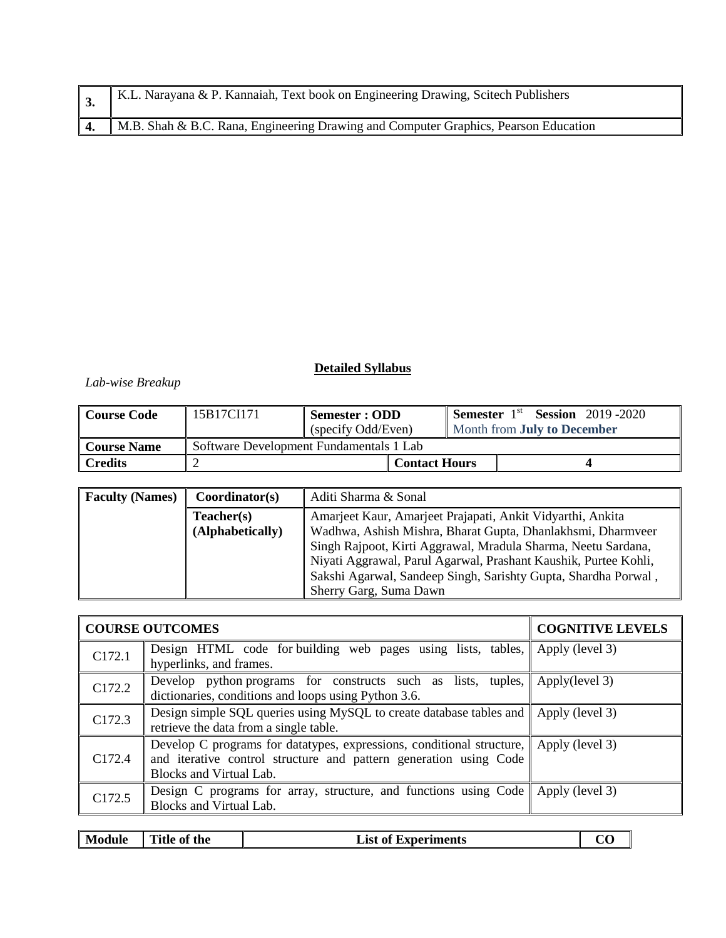| 3.         | K.L. Narayana & P. Kannaiah, Text book on Engineering Drawing, Scitech Publishers   |
|------------|-------------------------------------------------------------------------------------|
| $\vert 4.$ | M.B. Shah & B.C. Rana, Engineering Drawing and Computer Graphics, Pearson Education |

| <b>Course Code</b> | 15B17CI171                              | Semester : ODD     | <b>Semester</b> $1st$ | <b>Session</b> 2019 -2020          |
|--------------------|-----------------------------------------|--------------------|-----------------------|------------------------------------|
|                    |                                         | (specify Odd/Even) |                       | Month from <b>July to December</b> |
| <b>Course Name</b> | Software Development Fundamentals 1 Lab |                    |                       |                                    |
| <b>Credits</b>     |                                         |                    | <b>Contact Hours</b>  |                                    |

| <b>Faculty (Names)</b> | Coordinator(s)                 | Aditi Sharma & Sonal                                                                                                                                                                                                                                                                                                                                      |
|------------------------|--------------------------------|-----------------------------------------------------------------------------------------------------------------------------------------------------------------------------------------------------------------------------------------------------------------------------------------------------------------------------------------------------------|
|                        | Teacher(s)<br>(Alphabetically) | Amarjeet Kaur, Amarjeet Prajapati, Ankit Vidyarthi, Ankita<br>Wadhwa, Ashish Mishra, Bharat Gupta, Dhanlakhsmi, Dharmveer<br>Singh Rajpoot, Kirti Aggrawal, Mradula Sharma, Neetu Sardana,<br>Niyati Aggrawal, Parul Agarwal, Prashant Kaushik, Purtee Kohli,<br>Sakshi Agarwal, Sandeep Singh, Sarishty Gupta, Shardha Porwal,<br>Sherry Garg, Suma Dawn |

|                    | <b>COURSE OUTCOMES</b>                                                                                                                                                | <b>COGNITIVE LEVELS</b> |
|--------------------|-----------------------------------------------------------------------------------------------------------------------------------------------------------------------|-------------------------|
| C172.1             | Design HTML code for building web pages using lists, tables,<br>hyperlinks, and frames.                                                                               | Apply (level 3)         |
| C172.2             | Develop python programs for constructs such as lists, tuples,<br>dictionaries, conditions and loops using Python 3.6.                                                 | Apply(level 3)          |
| C172.3             | Design simple SQL queries using MySQL to create database tables and<br>Apply (level 3)<br>retrieve the data from a single table.                                      |                         |
| C <sub>172.4</sub> | Develop C programs for datatypes, expressions, conditional structure,<br>and iterative control structure and pattern generation using Code<br>Blocks and Virtual Lab. | Apply (level 3)         |
| C172.5             | Design C programs for array, structure, and functions using Code<br>Blocks and Virtual Lab.                                                                           | Apply (level 3)         |

| Module<br>Title of the<br>List<br>t of Experiments |  |
|----------------------------------------------------|--|
|----------------------------------------------------|--|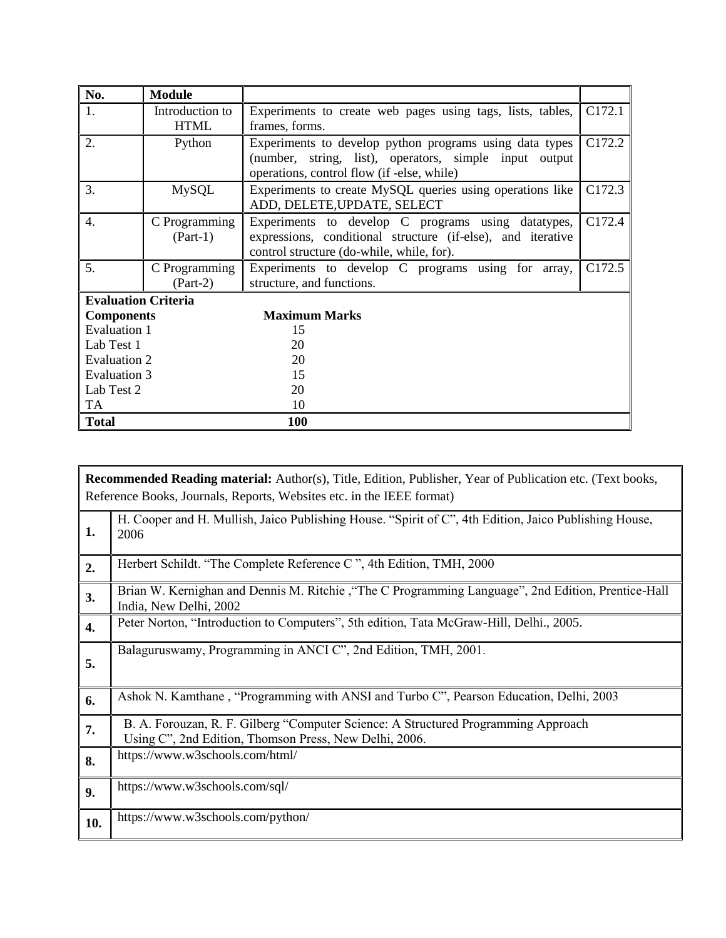| No.                        | <b>Module</b>   |                                                             |        |  |
|----------------------------|-----------------|-------------------------------------------------------------|--------|--|
| 1.                         | Introduction to | Experiments to create web pages using tags, lists, tables,  | C172.1 |  |
|                            | <b>HTML</b>     | frames, forms.                                              |        |  |
| 2.                         | Python          | Experiments to develop python programs using data types     | C172.2 |  |
|                            |                 | (number, string, list), operators, simple input output      |        |  |
|                            |                 | operations, control flow (if -else, while)                  |        |  |
| 3.                         | <b>MySQL</b>    | Experiments to create MySQL queries using operations like   | C172.3 |  |
|                            |                 | ADD, DELETE, UPDATE, SELECT                                 |        |  |
| 4.                         | C Programming   | Experiments to develop C programs using datatypes,          | C172.4 |  |
|                            | $(Part-1)$      | expressions, conditional structure (if-else), and iterative |        |  |
|                            |                 | control structure (do-while, while, for).                   |        |  |
| 5.                         | C Programming   | Experiments to develop C programs using for array,          | C172.5 |  |
|                            | $(Part-2)$      | structure, and functions.                                   |        |  |
| <b>Evaluation Criteria</b> |                 |                                                             |        |  |
| <b>Components</b>          |                 | <b>Maximum Marks</b>                                        |        |  |
| Evaluation 1               |                 | 15                                                          |        |  |
| Lab Test 1                 |                 | 20                                                          |        |  |
| Evaluation 2               |                 | 20                                                          |        |  |
| <b>Evaluation 3</b>        |                 | 15                                                          |        |  |
| Lab Test 2                 |                 | 20                                                          |        |  |
| TA                         |                 | 10                                                          |        |  |
| <b>Total</b>               |                 | 100                                                         |        |  |

|     | <b>Recommended Reading material:</b> Author(s), Title, Edition, Publisher, Year of Publication etc. (Text books,<br>Reference Books, Journals, Reports, Websites etc. in the IEEE format) |
|-----|-------------------------------------------------------------------------------------------------------------------------------------------------------------------------------------------|
| 1.  | H. Cooper and H. Mullish, Jaico Publishing House. "Spirit of C", 4th Edition, Jaico Publishing House,<br>2006                                                                             |
| 2.  | Herbert Schildt. "The Complete Reference C", 4th Edition, TMH, 2000                                                                                                                       |
| 3.  | Brian W. Kernighan and Dennis M. Ritchie, "The C Programming Language", 2nd Edition, Prentice-Hall<br>India, New Delhi, 2002                                                              |
| 4.  | Peter Norton, "Introduction to Computers", 5th edition, Tata McGraw-Hill, Delhi., 2005.                                                                                                   |
| 5.  | Balaguruswamy, Programming in ANCI C", 2nd Edition, TMH, 2001.                                                                                                                            |
| 6.  | Ashok N. Kamthane, "Programming with ANSI and Turbo C", Pearson Education, Delhi, 2003                                                                                                    |
| 7.  | B. A. Forouzan, R. F. Gilberg "Computer Science: A Structured Programming Approach<br>Using C", 2nd Edition, Thomson Press, New Delhi, 2006.                                              |
| 8.  | https://www.w3schools.com/html/                                                                                                                                                           |
| 9.  | https://www.w3schools.com/sql/                                                                                                                                                            |
| 10. | https://www.w3schools.com/python/                                                                                                                                                         |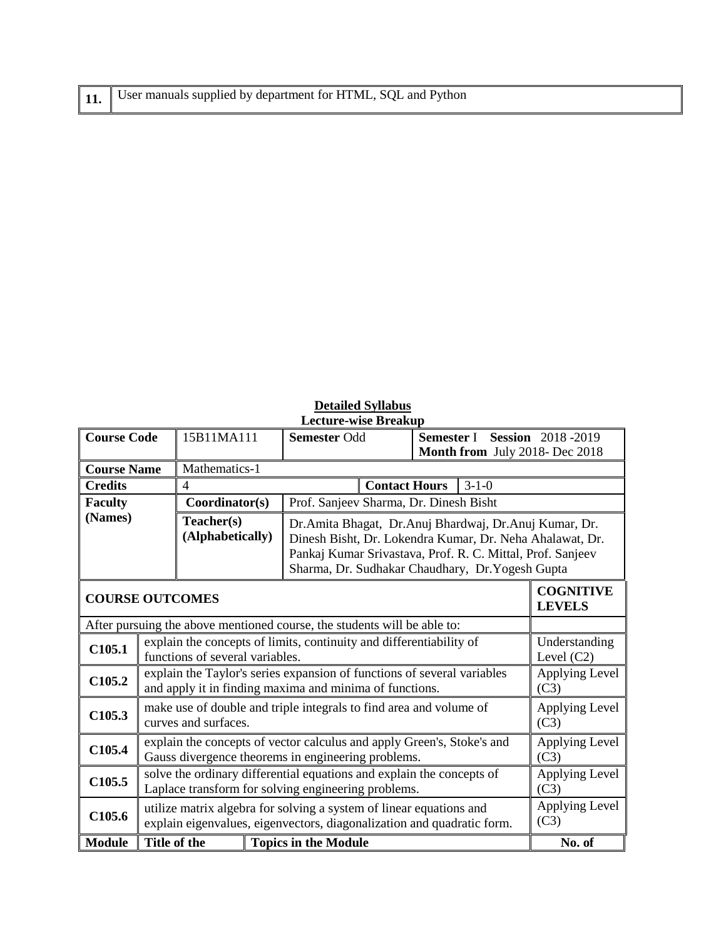#### **Detailed Syllabus Lecture-wise Breakup**

| LECULLE-WISE DI CANUP                                                    |                                                                                                                                               |                                |  |                                                                                                                                                                                                                                        |                               |  |                                |
|--------------------------------------------------------------------------|-----------------------------------------------------------------------------------------------------------------------------------------------|--------------------------------|--|----------------------------------------------------------------------------------------------------------------------------------------------------------------------------------------------------------------------------------------|-------------------------------|--|--------------------------------|
| <b>Course Code</b>                                                       | 15B11MA111<br><b>Semester Odd</b><br>Semester I                                                                                               |                                |  |                                                                                                                                                                                                                                        | <b>Session</b> 2018-2019      |  |                                |
|                                                                          |                                                                                                                                               |                                |  |                                                                                                                                                                                                                                        |                               |  | Month from July 2018- Dec 2018 |
| <b>Course Name</b><br>Mathematics-1                                      |                                                                                                                                               |                                |  |                                                                                                                                                                                                                                        |                               |  |                                |
| $3-1-0$<br>$\overline{4}$<br><b>Contact Hours</b><br><b>Credits</b>      |                                                                                                                                               |                                |  |                                                                                                                                                                                                                                        |                               |  |                                |
| <b>Faculty</b>                                                           |                                                                                                                                               | Coordinator(s)                 |  | Prof. Sanjeev Sharma, Dr. Dinesh Bisht                                                                                                                                                                                                 |                               |  |                                |
| (Names)                                                                  |                                                                                                                                               | Teacher(s)<br>(Alphabetically) |  | Dr. Amita Bhagat, Dr. Anuj Bhardwaj, Dr. Anuj Kumar, Dr.<br>Dinesh Bisht, Dr. Lokendra Kumar, Dr. Neha Ahalawat, Dr.<br>Pankaj Kumar Srivastava, Prof. R. C. Mittal, Prof. Sanjeev<br>Sharma, Dr. Sudhakar Chaudhary, Dr. Yogesh Gupta |                               |  |                                |
| <b>COURSE OUTCOMES</b><br><b>LEVELS</b>                                  |                                                                                                                                               |                                |  |                                                                                                                                                                                                                                        | <b>COGNITIVE</b>              |  |                                |
| After pursuing the above mentioned course, the students will be able to: |                                                                                                                                               |                                |  |                                                                                                                                                                                                                                        |                               |  |                                |
| C <sub>105.1</sub>                                                       | explain the concepts of limits, continuity and differentiability of<br>functions of several variables.                                        |                                |  |                                                                                                                                                                                                                                        | Understanding<br>Level $(C2)$ |  |                                |
| C <sub>105.2</sub>                                                       | explain the Taylor's series expansion of functions of several variables<br>and apply it in finding maxima and minima of functions.            |                                |  | <b>Applying Level</b><br>(C3)                                                                                                                                                                                                          |                               |  |                                |
| C105.3                                                                   | make use of double and triple integrals to find area and volume of<br>curves and surfaces.                                                    |                                |  | Applying Level<br>(C3)                                                                                                                                                                                                                 |                               |  |                                |
| C105.4                                                                   | explain the concepts of vector calculus and apply Green's, Stoke's and<br>Gauss divergence theorems in engineering problems.                  |                                |  |                                                                                                                                                                                                                                        | <b>Applying Level</b><br>(C3) |  |                                |
| C <sub>105.5</sub>                                                       | solve the ordinary differential equations and explain the concepts of<br>Laplace transform for solving engineering problems.                  |                                |  | Applying Level<br>(C3)                                                                                                                                                                                                                 |                               |  |                                |
| C105.6                                                                   | utilize matrix algebra for solving a system of linear equations and<br>explain eigenvalues, eigenvectors, diagonalization and quadratic form. |                                |  |                                                                                                                                                                                                                                        | <b>Applying Level</b><br>(C3) |  |                                |
| <b>Module</b>                                                            | Title of the<br><b>Topics in the Module</b>                                                                                                   |                                |  | No. of                                                                                                                                                                                                                                 |                               |  |                                |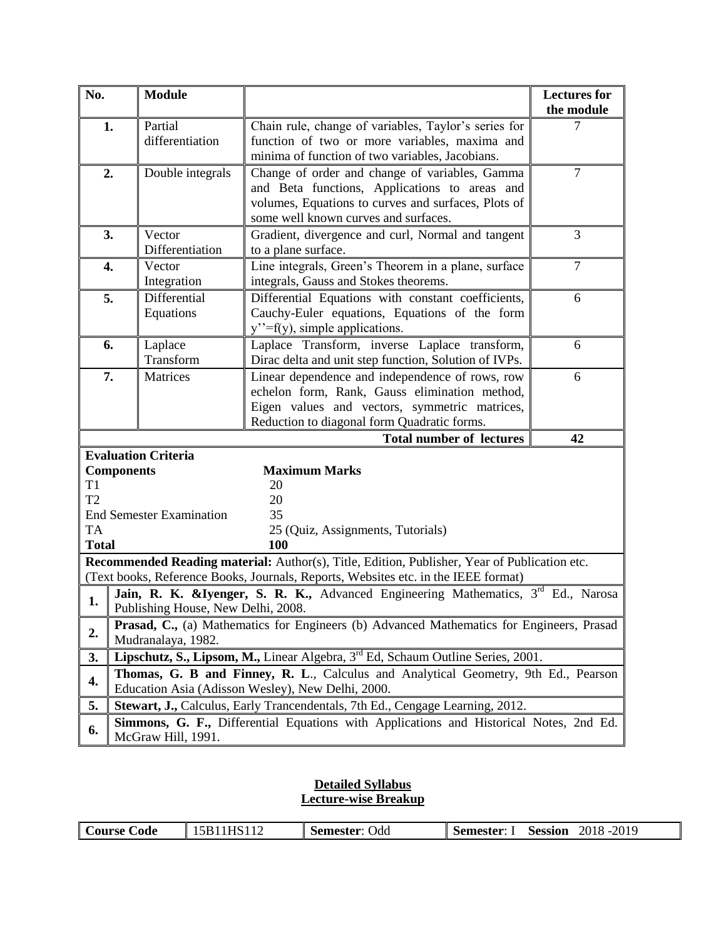| No. | <b>Module</b>                                                                                                                                                                      |                                                                                                                                         | <b>Lectures</b> for |  |  |  |
|-----|------------------------------------------------------------------------------------------------------------------------------------------------------------------------------------|-----------------------------------------------------------------------------------------------------------------------------------------|---------------------|--|--|--|
|     |                                                                                                                                                                                    |                                                                                                                                         | the module          |  |  |  |
| 1.  | Partial<br>differentiation                                                                                                                                                         | Chain rule, change of variables, Taylor's series for                                                                                    | 7                   |  |  |  |
|     |                                                                                                                                                                                    | function of two or more variables, maxima and<br>minima of function of two variables, Jacobians.                                        |                     |  |  |  |
| 2.  | Double integrals                                                                                                                                                                   | Change of order and change of variables, Gamma                                                                                          | $\overline{7}$      |  |  |  |
|     |                                                                                                                                                                                    | and Beta functions, Applications to areas and                                                                                           |                     |  |  |  |
|     |                                                                                                                                                                                    | volumes, Equations to curves and surfaces, Plots of                                                                                     |                     |  |  |  |
|     |                                                                                                                                                                                    | some well known curves and surfaces.                                                                                                    |                     |  |  |  |
| 3.  | Vector                                                                                                                                                                             | Gradient, divergence and curl, Normal and tangent                                                                                       | 3                   |  |  |  |
|     | Differentiation<br>to a plane surface.                                                                                                                                             |                                                                                                                                         |                     |  |  |  |
| 4.  | Vector                                                                                                                                                                             | Line integrals, Green's Theorem in a plane, surface                                                                                     | $\overline{7}$      |  |  |  |
|     | Integration                                                                                                                                                                        | integrals, Gauss and Stokes theorems.                                                                                                   |                     |  |  |  |
| 5.  | Differential                                                                                                                                                                       | Differential Equations with constant coefficients,                                                                                      | 6                   |  |  |  |
|     | Equations                                                                                                                                                                          | Cauchy-Euler equations, Equations of the form                                                                                           |                     |  |  |  |
|     |                                                                                                                                                                                    | $y''=f(y)$ , simple applications.                                                                                                       |                     |  |  |  |
| 6.  | Laplace                                                                                                                                                                            | Laplace Transform, inverse Laplace transform,                                                                                           | 6                   |  |  |  |
|     | Transform                                                                                                                                                                          | Dirac delta and unit step function, Solution of IVPs.                                                                                   |                     |  |  |  |
| 7.  | Matrices                                                                                                                                                                           | Linear dependence and independence of rows, row<br>echelon form, Rank, Gauss elimination method,                                        | 6                   |  |  |  |
|     | Eigen values and vectors, symmetric matrices,                                                                                                                                      |                                                                                                                                         |                     |  |  |  |
|     | Reduction to diagonal form Quadratic forms.                                                                                                                                        |                                                                                                                                         |                     |  |  |  |
|     | <b>Total number of lectures</b><br>42                                                                                                                                              |                                                                                                                                         |                     |  |  |  |
|     | <b>Evaluation Criteria</b>                                                                                                                                                         |                                                                                                                                         |                     |  |  |  |
|     | <b>Maximum Marks</b><br><b>Components</b>                                                                                                                                          |                                                                                                                                         |                     |  |  |  |
| T1  | 20                                                                                                                                                                                 |                                                                                                                                         |                     |  |  |  |
| T2  | 20                                                                                                                                                                                 |                                                                                                                                         |                     |  |  |  |
|     | <b>End Semester Examination</b><br>35                                                                                                                                              |                                                                                                                                         |                     |  |  |  |
|     | <b>TA</b><br>25 (Quiz, Assignments, Tutorials)                                                                                                                                     |                                                                                                                                         |                     |  |  |  |
|     | <b>Total</b><br><b>100</b>                                                                                                                                                         |                                                                                                                                         |                     |  |  |  |
|     | Recommended Reading material: Author(s), Title, Edition, Publisher, Year of Publication etc.<br>(Text books, Reference Books, Journals, Reports, Websites etc. in the IEEE format) |                                                                                                                                         |                     |  |  |  |
|     | Jain, R. K. &Iyenger, S. R. K., Advanced Engineering Mathematics, 3 <sup>rd</sup> Ed., Narosa                                                                                      |                                                                                                                                         |                     |  |  |  |
| 1.  | Publishing House, New Delhi, 2008.                                                                                                                                                 |                                                                                                                                         |                     |  |  |  |
| 2.  |                                                                                                                                                                                    | <b>Prasad, C.,</b> (a) Mathematics for Engineers (b) Advanced Mathematics for Engineers, Prasad                                         |                     |  |  |  |
|     | Mudranalaya, 1982.                                                                                                                                                                 |                                                                                                                                         |                     |  |  |  |
| 3.  |                                                                                                                                                                                    | Lipschutz, S., Lipsom, M., Linear Algebra, 3 <sup>rd</sup> Ed, Schaum Outline Series, 2001.                                             |                     |  |  |  |
| 4.  |                                                                                                                                                                                    | Thomas, G. B and Finney, R. L., Calculus and Analytical Geometry, 9th Ed., Pearson<br>Education Asia (Adisson Wesley), New Delhi, 2000. |                     |  |  |  |
| 5.  |                                                                                                                                                                                    | Stewart, J., Calculus, Early Trancendentals, 7th Ed., Cengage Learning, 2012.                                                           |                     |  |  |  |
|     |                                                                                                                                                                                    | Simmons, G. F., Differential Equations with Applications and Historical Notes, 2nd Ed.                                                  |                     |  |  |  |
| 6.  | McGraw Hill, 1991.                                                                                                                                                                 |                                                                                                                                         |                     |  |  |  |

#### **Detailed Syllabus Lecture-wise Breakup**

| 2018 - 2019<br>  Course Code<br><b>Session</b><br>Jdd<br>Semester:<br>emester: |
|--------------------------------------------------------------------------------|
|--------------------------------------------------------------------------------|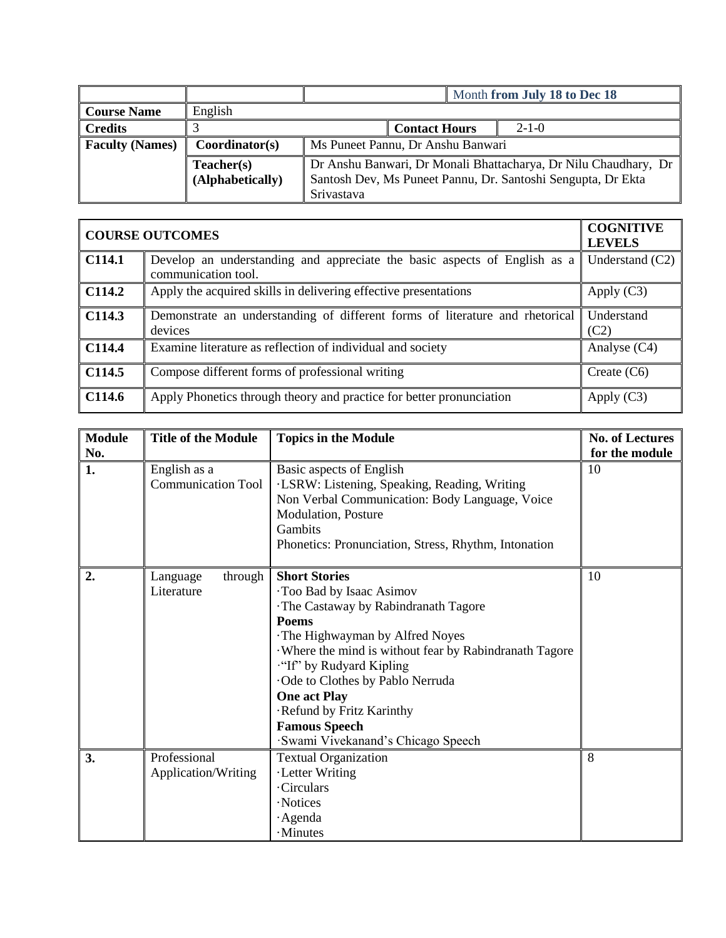|                        |                                | Month from July 18 to Dec 18                                                                                                                  |  |  |
|------------------------|--------------------------------|-----------------------------------------------------------------------------------------------------------------------------------------------|--|--|
| <b>Course Name</b>     | English                        |                                                                                                                                               |  |  |
| <b>Credits</b>         |                                | $2 - 1 - 0$<br><b>Contact Hours</b>                                                                                                           |  |  |
| <b>Faculty (Names)</b> | Coordinator(s)                 | Ms Puneet Pannu, Dr Anshu Banwari                                                                                                             |  |  |
|                        | Teacher(s)<br>(Alphabetically) | Dr Anshu Banwari, Dr Monali Bhattacharya, Dr Nilu Chaudhary, Dr<br>Santosh Dev, Ms Puneet Pannu, Dr. Santoshi Sengupta, Dr Ekta<br>Srivastava |  |  |

| <b>COURSE OUTCOMES</b> | <b>COGNITIVE</b><br><b>LEVELS</b>                                                                |                    |
|------------------------|--------------------------------------------------------------------------------------------------|--------------------|
| $\vert$ C114.1         | Develop an understanding and appreciate the basic aspects of English as a<br>communication tool. | Understand $(C2)$  |
| CI14.2                 | Apply the acquired skills in delivering effective presentations                                  | Apply $(C3)$       |
| $\vert$ C114.3         | Demonstrate an understanding of different forms of literature and rhetorical<br>devices          | Understand<br>(C2) |
| $\vert$ C114.4         | Examine literature as reflection of individual and society                                       | Analyse (C4)       |
| $\overline{C}$ 114.5   | Compose different forms of professional writing                                                  | Create $(C6)$      |
| CI14.6                 | Apply Phonetics through theory and practice for better pronunciation                             | Apply (C3)         |

| <b>Module</b> | <b>Title of the Module</b>                | <b>Topics in the Module</b>                                                                                                                                                                                                                                                                                                                                                     | <b>No. of Lectures</b> |
|---------------|-------------------------------------------|---------------------------------------------------------------------------------------------------------------------------------------------------------------------------------------------------------------------------------------------------------------------------------------------------------------------------------------------------------------------------------|------------------------|
| No.           |                                           |                                                                                                                                                                                                                                                                                                                                                                                 | for the module         |
| 1.            | English as a<br><b>Communication Tool</b> | Basic aspects of English<br>·LSRW: Listening, Speaking, Reading, Writing<br>Non Verbal Communication: Body Language, Voice<br>Modulation, Posture<br>Gambits<br>Phonetics: Pronunciation, Stress, Rhythm, Intonation                                                                                                                                                            | 10                     |
| 2.            | through<br>Language<br>Literature         | <b>Short Stories</b><br>Too Bad by Isaac Asimov<br>The Castaway by Rabindranath Tagore<br><b>Poems</b><br>The Highwayman by Alfred Noyes<br>Where the mind is without fear by Rabindranath Tagore<br>"If" by Rudyard Kipling<br>Ode to Clothes by Pablo Nerruda<br><b>One act Play</b><br>Refund by Fritz Karinthy<br><b>Famous Speech</b><br>Swami Vivekanand's Chicago Speech | 10                     |
| 3.            | Professional<br>Application/Writing       | <b>Textual Organization</b><br>·Letter Writing<br><b>Circulars</b><br>·Notices<br>· Agenda<br>·Minutes                                                                                                                                                                                                                                                                          | 8                      |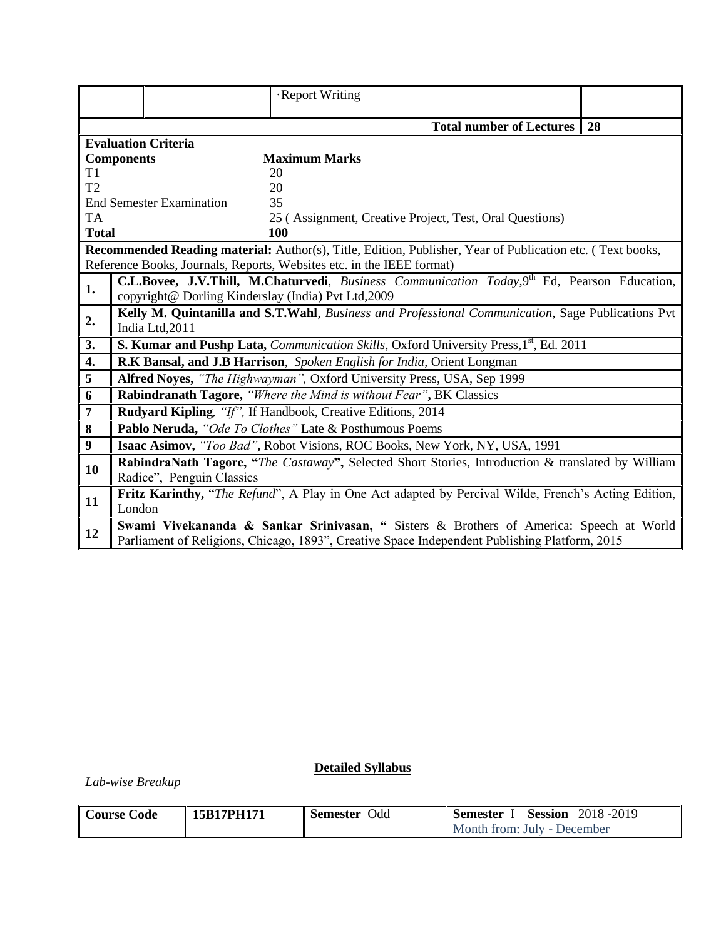|                | Report Writing                                                                                                                                                                          |  |  |  |  |  |
|----------------|-----------------------------------------------------------------------------------------------------------------------------------------------------------------------------------------|--|--|--|--|--|
|                | <b>Total number of Lectures</b><br>28                                                                                                                                                   |  |  |  |  |  |
|                | <b>Evaluation Criteria</b>                                                                                                                                                              |  |  |  |  |  |
|                | <b>Maximum Marks</b><br><b>Components</b>                                                                                                                                               |  |  |  |  |  |
| T <sub>1</sub> | 20                                                                                                                                                                                      |  |  |  |  |  |
| T <sub>2</sub> | 20                                                                                                                                                                                      |  |  |  |  |  |
|                | <b>End Semester Examination</b><br>35                                                                                                                                                   |  |  |  |  |  |
| TA             | 25 (Assignment, Creative Project, Test, Oral Questions)                                                                                                                                 |  |  |  |  |  |
| <b>Total</b>   | <b>100</b>                                                                                                                                                                              |  |  |  |  |  |
|                | Recommended Reading material: Author(s), Title, Edition, Publisher, Year of Publication etc. (Text books,<br>Reference Books, Journals, Reports, Websites etc. in the IEEE format)      |  |  |  |  |  |
| 1.             | C.L.Bovee, J.V.Thill, M.Chaturvedi, Business Communication Today, 9th Ed, Pearson Education,<br>copyright@ Dorling Kinderslay (India) Pvt Ltd,2009                                      |  |  |  |  |  |
| 2.             | Kelly M. Quintanilla and S.T.Wahl, Business and Professional Communication, Sage Publications Pvt<br>India Ltd, 2011                                                                    |  |  |  |  |  |
| 3.             | S. Kumar and Pushp Lata, Communication Skills, Oxford University Press, 1st, Ed. 2011                                                                                                   |  |  |  |  |  |
| 4.             | R.K Bansal, and J.B Harrison, Spoken English for India, Orient Longman                                                                                                                  |  |  |  |  |  |
| 5              | Alfred Noyes, "The Highwayman", Oxford University Press, USA, Sep 1999                                                                                                                  |  |  |  |  |  |
| 6              | <b>Rabindranath Tagore,</b> "Where the Mind is without Fear", BK Classics                                                                                                               |  |  |  |  |  |
| $\overline{7}$ | Rudyard Kipling, "If", If Handbook, Creative Editions, 2014                                                                                                                             |  |  |  |  |  |
| 8              | Pablo Neruda, "Ode To Clothes" Late & Posthumous Poems                                                                                                                                  |  |  |  |  |  |
| 9              | Isaac Asimov, "Too Bad", Robot Visions, ROC Books, New York, NY, USA, 1991                                                                                                              |  |  |  |  |  |
| 10             | RabindraNath Tagore, "The Castaway", Selected Short Stories, Introduction & translated by William<br>Radice", Penguin Classics                                                          |  |  |  |  |  |
| 11             | Fritz Karinthy, "The Refund", A Play in One Act adapted by Percival Wilde, French's Acting Edition,<br>London                                                                           |  |  |  |  |  |
| 12             | Swami Vivekananda & Sankar Srinivasan, "Sisters & Brothers of America: Speech at World<br>Parliament of Religions, Chicago, 1893", Creative Space Independent Publishing Platform, 2015 |  |  |  |  |  |

| <b>Course Code</b> | 15B17PH171 | <b>Semester</b><br>Odd | 2018-2019<br><b>Session</b><br>- Semester |
|--------------------|------------|------------------------|-------------------------------------------|
|                    |            |                        | <b>Month from: July - December</b>        |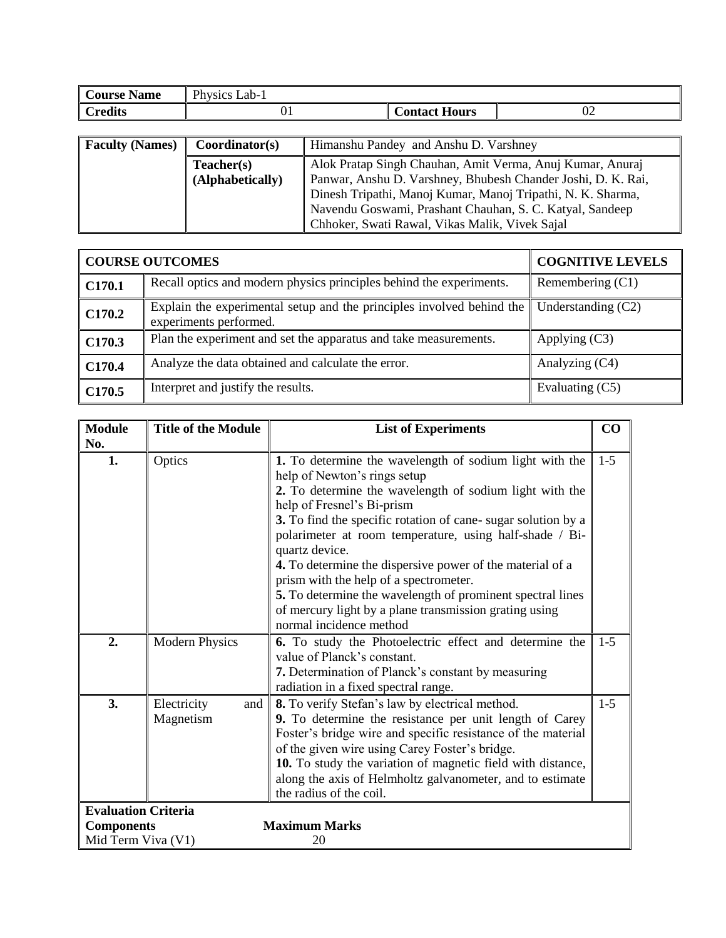| Course<br>$ -$<br><b>Name</b> | <b>Physics</b><br>Lab-1 |               |          |
|-------------------------------|-------------------------|---------------|----------|
| Credits                       | UΙ                      | Contact Hours | ∩∕<br>∪∠ |

| <b>Faculty (Names)</b> | Coordinator(s)   | Himanshu Pandey and Anshu D. Varshney                        |
|------------------------|------------------|--------------------------------------------------------------|
|                        | Teacher(s)       | Alok Pratap Singh Chauhan, Amit Verma, Anuj Kumar, Anuraj    |
|                        | (Alphabetically) | Panwar, Anshu D. Varshney, Bhubesh Chander Joshi, D. K. Rai, |
|                        |                  | Dinesh Tripathi, Manoj Kumar, Manoj Tripathi, N. K. Sharma,  |
|                        |                  | Navendu Goswami, Prashant Chauhan, S. C. Katyal, Sandeep     |
|                        |                  | Chhoker, Swati Rawal, Vikas Malik, Vivek Sajal               |

|        | <b>COURSE OUTCOMES</b>                                                                          | <b>COGNITIVE LEVELS</b> |
|--------|-------------------------------------------------------------------------------------------------|-------------------------|
| C170.1 | Recall optics and modern physics principles behind the experiments.                             | Remembering (C1)        |
| C170.2 | Explain the experimental setup and the principles involved behind the<br>experiments performed. | Understanding $(C2)$    |
| C170.3 | Plan the experiment and set the apparatus and take measurements.                                | Applying $(C3)$         |
| C170.4 | Analyze the data obtained and calculate the error.                                              | Analyzing (C4)          |
| C170.5 | Interpret and justify the results.                                                              | Evaluating (C5)         |

| <b>Module</b>              | <b>Title of the Module</b> | CO<br><b>List of Experiments</b>                                          |         |
|----------------------------|----------------------------|---------------------------------------------------------------------------|---------|
| No.                        |                            |                                                                           |         |
| 1.                         | Optics                     | 1. To determine the wavelength of sodium light with the                   | $1-5$   |
|                            |                            | help of Newton's rings setup                                              |         |
|                            |                            | 2. To determine the wavelength of sodium light with the                   |         |
|                            |                            | help of Fresnel's Bi-prism                                                |         |
|                            |                            | 3. To find the specific rotation of cane- sugar solution by a             |         |
|                            |                            | polarimeter at room temperature, using half-shade / Bi-<br>quartz device. |         |
|                            |                            | 4. To determine the dispersive power of the material of a                 |         |
|                            |                            | prism with the help of a spectrometer.                                    |         |
|                            |                            | 5. To determine the wavelength of prominent spectral lines                |         |
|                            |                            | of mercury light by a plane transmission grating using                    |         |
|                            |                            | normal incidence method                                                   |         |
| 2.                         | <b>Modern Physics</b>      | 6. To study the Photoelectric effect and determine the                    | $1-5$   |
|                            |                            | value of Planck's constant.                                               |         |
|                            |                            | 7. Determination of Planck's constant by measuring                        |         |
|                            |                            | radiation in a fixed spectral range.                                      |         |
| 3.                         | Electricity<br>and         | 8. To verify Stefan's law by electrical method.                           | $1 - 5$ |
|                            | Magnetism                  | 9. To determine the resistance per unit length of Carey                   |         |
|                            |                            | Foster's bridge wire and specific resistance of the material              |         |
|                            |                            | of the given wire using Carey Foster's bridge.                            |         |
|                            |                            | 10. To study the variation of magnetic field with distance,               |         |
|                            |                            | along the axis of Helmholtz galvanometer, and to estimate                 |         |
|                            |                            | the radius of the coil.                                                   |         |
| <b>Evaluation Criteria</b> |                            |                                                                           |         |
| <b>Components</b>          |                            | <b>Maximum Marks</b>                                                      |         |
| Mid Term Viva (V1)         |                            | 20                                                                        |         |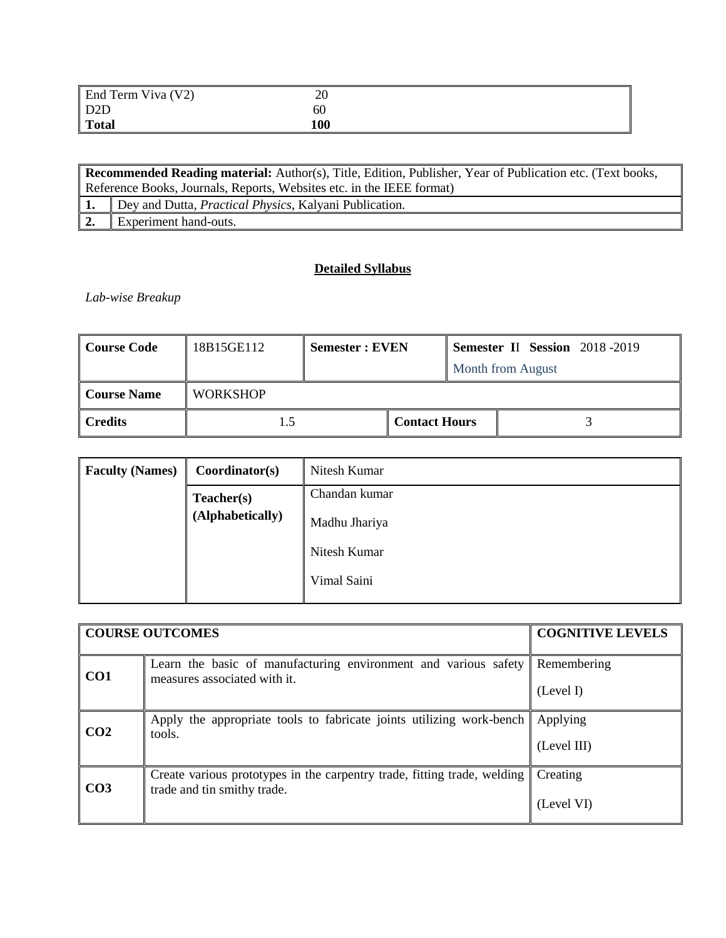| End Term Viva (V2) | n۵<br>∠∪ |  |
|--------------------|----------|--|
| D <sub>2</sub> D   | 60       |  |
| <b>Total</b>       | 100      |  |

| <b>Recommended Reading material:</b> Author(s), Title, Edition, Publisher, Year of Publication etc. (Text books, |  |  |
|------------------------------------------------------------------------------------------------------------------|--|--|
| Reference Books, Journals, Reports, Websites etc. in the IEEE format)                                            |  |  |
| Dey and Dutta, <i>Practical Physics</i> , Kalyani Publication.                                                   |  |  |
| Experiment hand-outs.                                                                                            |  |  |

| <b>Course Code</b>                    | 18B15GE112 | <b>Semester: EVEN</b> |                      | <b>Semester II Session</b> 2018-2019 |
|---------------------------------------|------------|-----------------------|----------------------|--------------------------------------|
|                                       |            |                       |                      | Month from August                    |
| <b>WORKSHOP</b><br><b>Course Name</b> |            |                       |                      |                                      |
| <b>Credits</b><br>1.5                 |            |                       | <b>Contact Hours</b> |                                      |

| <b>Faculty (Names)</b> | Coordinator(s)   | Nitesh Kumar  |
|------------------------|------------------|---------------|
|                        | Teacher(s)       | Chandan kumar |
|                        | (Alphabetically) | Madhu Jhariya |
|                        |                  | Nitesh Kumar  |
|                        |                  | Vimal Saini   |

|                 | <b>COURSE OUTCOMES</b>                                                                                  | <b>COGNITIVE LEVELS</b>  |
|-----------------|---------------------------------------------------------------------------------------------------------|--------------------------|
| CO <sub>1</sub> | Learn the basic of manufacturing environment and various safety<br>measures associated with it.         | Remembering<br>(Level I) |
| CO <sub>2</sub> | Apply the appropriate tools to fabricate joints utilizing work-bench<br>tools.                          | Applying<br>(Level III)  |
| CO <sub>3</sub> | Create various prototypes in the carpentry trade, fitting trade, welding<br>trade and tin smithy trade. | Creating<br>(Level VI)   |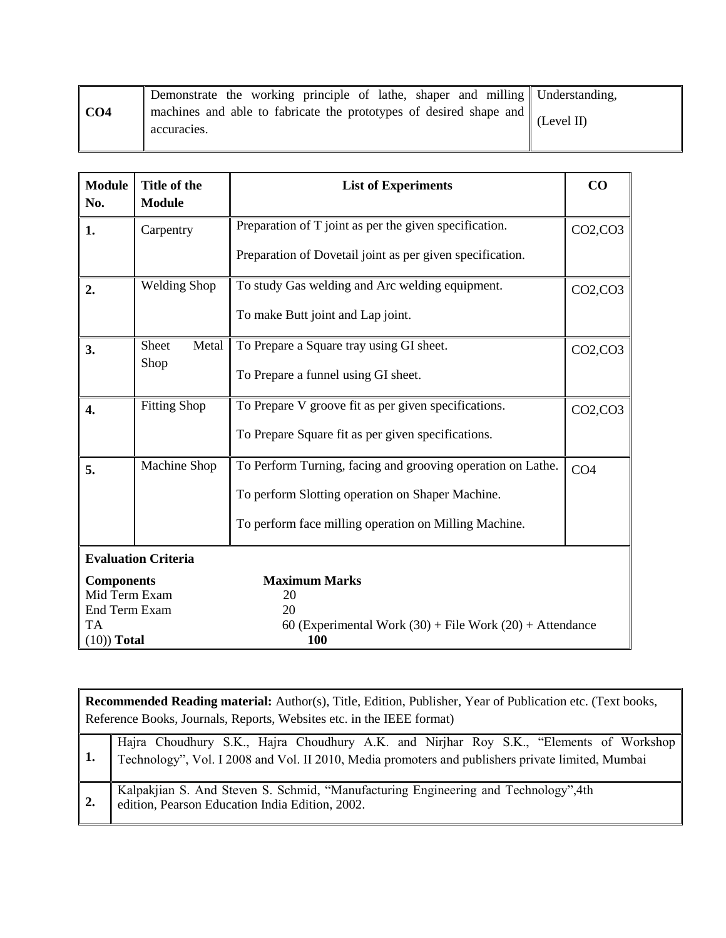|            | Demonstrate the working principle of lathe, shaper and milling Understanding,     |            |
|------------|-----------------------------------------------------------------------------------|------------|
| $\mid$ CO4 | machines and able to fabricate the prototypes of desired shape and<br>accuracies. | (Level II) |

| <b>Module</b><br>No.                                      | Title of the<br><b>Module</b> | <b>List of Experiments</b>                                                                       | CO              |  |
|-----------------------------------------------------------|-------------------------------|--------------------------------------------------------------------------------------------------|-----------------|--|
| 1.                                                        | Carpentry                     | Preparation of T joint as per the given specification.                                           | CO2, CO3        |  |
|                                                           |                               | Preparation of Dovetail joint as per given specification.                                        |                 |  |
| 2.                                                        | <b>Welding Shop</b>           | To study Gas welding and Arc welding equipment.                                                  | CO2, CO3        |  |
|                                                           |                               | To make Butt joint and Lap joint.                                                                |                 |  |
| 3.                                                        | Metal<br>Sheet                | To Prepare a Square tray using GI sheet.                                                         | CO2, CO3        |  |
|                                                           | Shop                          | To Prepare a funnel using GI sheet.                                                              |                 |  |
| 4.                                                        | <b>Fitting Shop</b>           | To Prepare V groove fit as per given specifications.                                             | CO2, CO3        |  |
|                                                           |                               | To Prepare Square fit as per given specifications.                                               |                 |  |
| 5.                                                        | Machine Shop                  | To Perform Turning, facing and grooving operation on Lathe.                                      | CO <sub>4</sub> |  |
|                                                           |                               | To perform Slotting operation on Shaper Machine.                                                 |                 |  |
|                                                           |                               | To perform face milling operation on Milling Machine.                                            |                 |  |
| <b>Evaluation Criteria</b>                                |                               |                                                                                                  |                 |  |
| <b>Components</b><br>Mid Term Exam<br>End Term Exam<br>TA |                               | <b>Maximum Marks</b><br>20<br>20<br>60 (Experimental Work $(30)$ + File Work $(20)$ + Attendance |                 |  |
| $(10)$ ) Total                                            |                               | <b>100</b>                                                                                       |                 |  |

|               | <b>Recommended Reading material:</b> Author(s), Title, Edition, Publisher, Year of Publication etc. (Text books,<br>Reference Books, Journals, Reports, Websites etc. in the IEEE format)   |  |  |  |  |
|---------------|---------------------------------------------------------------------------------------------------------------------------------------------------------------------------------------------|--|--|--|--|
|               | Hajra Choudhury S.K., Hajra Choudhury A.K. and Nirjhar Roy S.K., "Elements of Workshop<br>Technology", Vol. I 2008 and Vol. II 2010, Media promoters and publishers private limited, Mumbai |  |  |  |  |
| <sup>2.</sup> | Kalpakjian S. And Steven S. Schmid, "Manufacturing Engineering and Technology", 4th<br>edition, Pearson Education India Edition, 2002.                                                      |  |  |  |  |